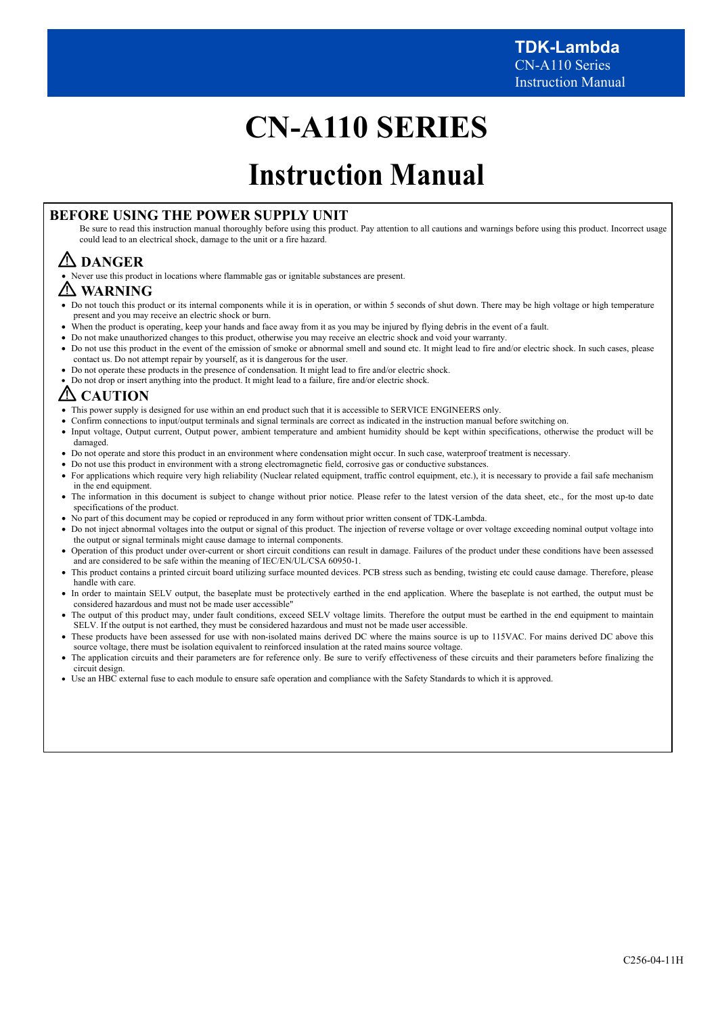# **CN-A110 SERIES**

# **Instruction Manual**

# **BEFORE USING THE POWER SUPPLY UNIT**

Be sure to read this instruction manual thoroughly before using this product. Pay attention to all cautions and warnings before using this product. Incorrect usage could lead to an electrical shock, damage to the unit or a fire hazard.

# **DANGER**

Never use this product in locations where flammable gas or ignitable substances are present.

# **WARNING**

- Do not touch this product or its internal components while it is in operation, or within 5 seconds of shut down. There may be high voltage or high temperature present and you may receive an electric shock or burn.
- When the product is operating, keep your hands and face away from it as you may be injured by flying debris in the event of a fault.
- Do not make unauthorized changes to this product, otherwise you may receive an electric shock and void your warranty.
- Do not use this product in the event of the emission of smoke or abnormal smell and sound etc. It might lead to fire and/or electric shock. In such cases, please contact us. Do not attempt repair by yourself, as it is dangerous for the user.
- Do not operate these products in the presence of condensation. It might lead to fire and/or electric shock.
- Do not drop or insert anything into the product. It might lead to a failure, fire and/or electric shock.

# **CAUTION**

- This power supply is designed for use within an end product such that it is accessible to SERVICE ENGINEERS only.
- Confirm connections to input/output terminals and signal terminals are correct as indicated in the instruction manual before switching on.
- Input voltage, Output current, Output power, ambient temperature and ambient humidity should be kept within specifications, otherwise the product will be damaged.
- Do not operate and store this product in an environment where condensation might occur. In such case, waterproof treatment is necessary.
- Do not use this product in environment with a strong electromagnetic field, corrosive gas or conductive substances.
- For applications which require very high reliability (Nuclear related equipment, traffic control equipment, etc.), it is necessary to provide a fail safe mechanism in the end equipment.
- The information in this document is subject to change without prior notice. Please refer to the latest version of the data sheet, etc., for the most up-to date specifications of the product.
- No part of this document may be copied or reproduced in any form without prior written consent of TDK-Lambda.
- Do not inject abnormal voltages into the output or signal of this product. The injection of reverse voltage or over voltage exceeding nominal output voltage into the output or signal terminals might cause damage to internal components.
- Operation of this product under over-current or short circuit conditions can result in damage. Failures of the product under these conditions have been assessed and are considered to be safe within the meaning of IEC/EN/UL/CSA 60950-1.
- This product contains a printed circuit board utilizing surface mounted devices. PCB stress such as bending, twisting etc could cause damage. Therefore, please handle with care.
- In order to maintain SELV output, the baseplate must be protectively earthed in the end application. Where the baseplate is not earthed, the output must be considered hazardous and must not be made user accessible"
- The output of this product may, under fault conditions, exceed SELV voltage limits. Therefore the output must be earthed in the end equipment to maintain SELV. If the output is not earthed, they must be considered hazardous and must not be made user accessible.
- These products have been assessed for use with non-isolated mains derived DC where the mains source is up to 115VAC. For mains derived DC above this source voltage, there must be isolation equivalent to reinforced insulation at the rated mains source voltage.
- The application circuits and their parameters are for reference only. Be sure to verify effectiveness of these circuits and their parameters before finalizing the circuit design.
- Use an HBC external fuse to each module to ensure safe operation and compliance with the Safety Standards to which it is approved.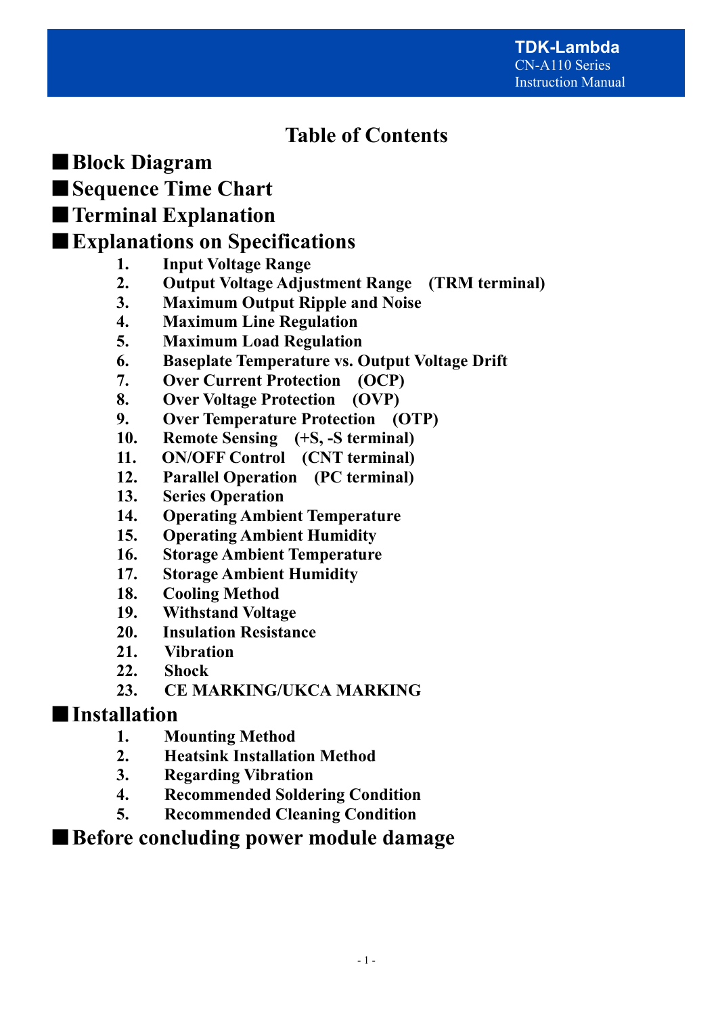# **Table of Contents**

■**Block Diagram** 

■**Sequence Time Chart** 

# ■**Terminal Explanation**

# ■**Explanations on Specifications**

- **1. Input Voltage Range**
- **2. Output Voltage Adjustment Range (TRM terminal)**
- **3. Maximum Output Ripple and Noise**
- **4. Maximum Line Regulation**
- **5. Maximum Load Regulation**
- **6. Baseplate Temperature vs. Output Voltage Drift**
- **7. Over Current Protection (OCP)**
- **8. Over Voltage Protection (OVP)**
- **9. Over Temperature Protection (OTP)**
- **10. Remote Sensing (+S, -S terminal)**
- **11. ON/OFF Control (CNT terminal)**
- **12. Parallel Operation (PC terminal)**
- **13. Series Operation**
- **14. Operating Ambient Temperature**
- **15. Operating Ambient Humidity**
- **16. Storage Ambient Temperature**
- **17. Storage Ambient Humidity**
- **18. Cooling Method**
- **19. Withstand Voltage**
- **20. Insulation Resistance**
- **21. Vibration**
- **22. Shock**
- **23. CE MARKING/UKCA MARKING**

# ■**Installation**

- **1. Mounting Method**
- **2. Heatsink Installation Method**
- **3. Regarding Vibration**
- **4. Recommended Soldering Condition**
- **5. Recommended Cleaning Condition**

# ■ Before concluding power module damage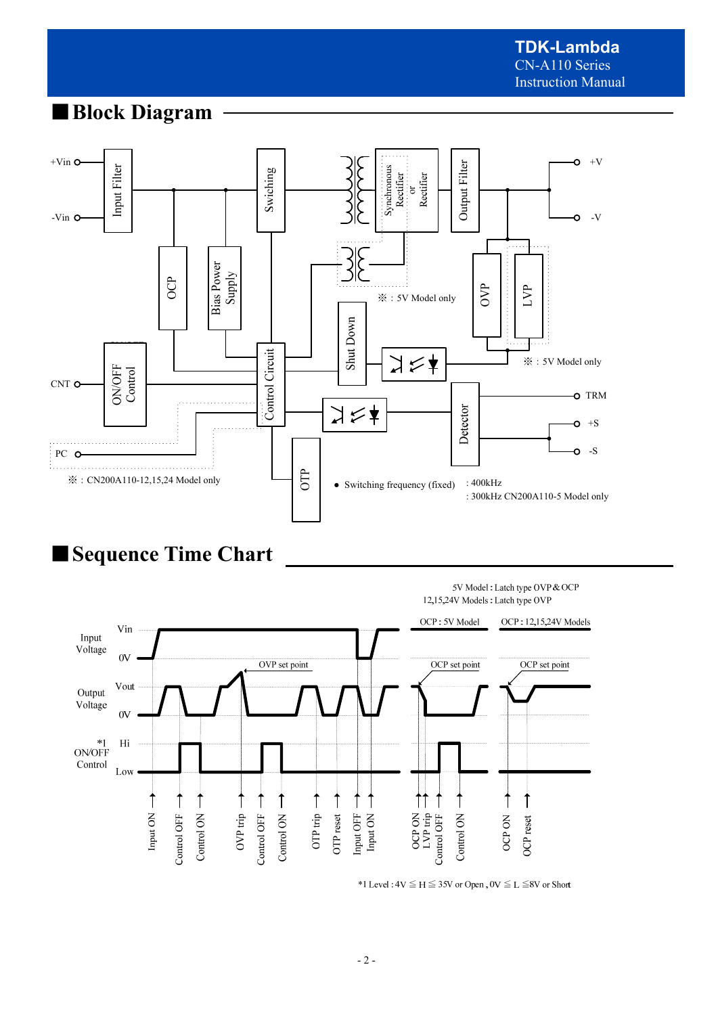# ■**Block Diagram**



# ■**Sequence Time Chart**

5V Model: Latch type OVP & OCP 12,15,24V Models: Latch type OVP



\*1 Level :  $4V \le H \le 35V$  or Open,  $0V \le L \le 8V$  or Short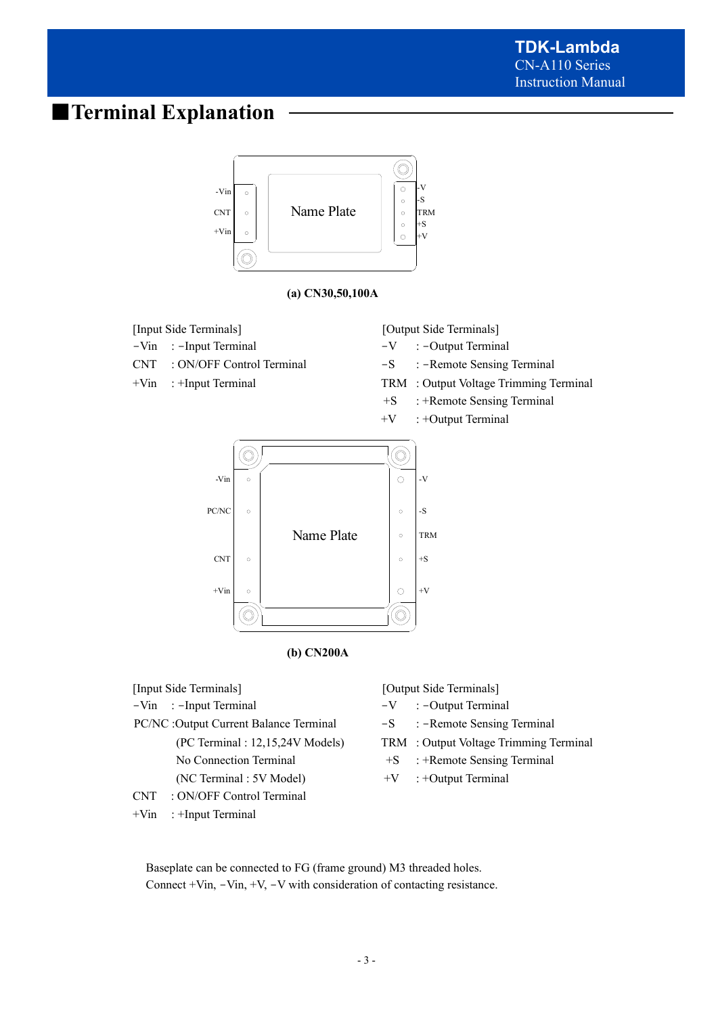# ■**Terminal Explanation**



PC/NC :Output Current Balance Terminal -S : -Remote Sensing Terminal

- 
- 
- CNT : ON/OFF Control Terminal
- +Vin : +Input Terminal
- 
- (PC Terminal : 12,15,24V Models) TRM : Output Voltage Trimming Terminal
- No Connection Terminal  $+S$  : +Remote Sensing Terminal
- (NC Terminal : 5V Model)  $+V$  : +Output Terminal

Baseplate can be connected to FG (frame ground) M3 threaded holes. Connect +Vin, -Vin, +V, -V with consideration of contacting resistance.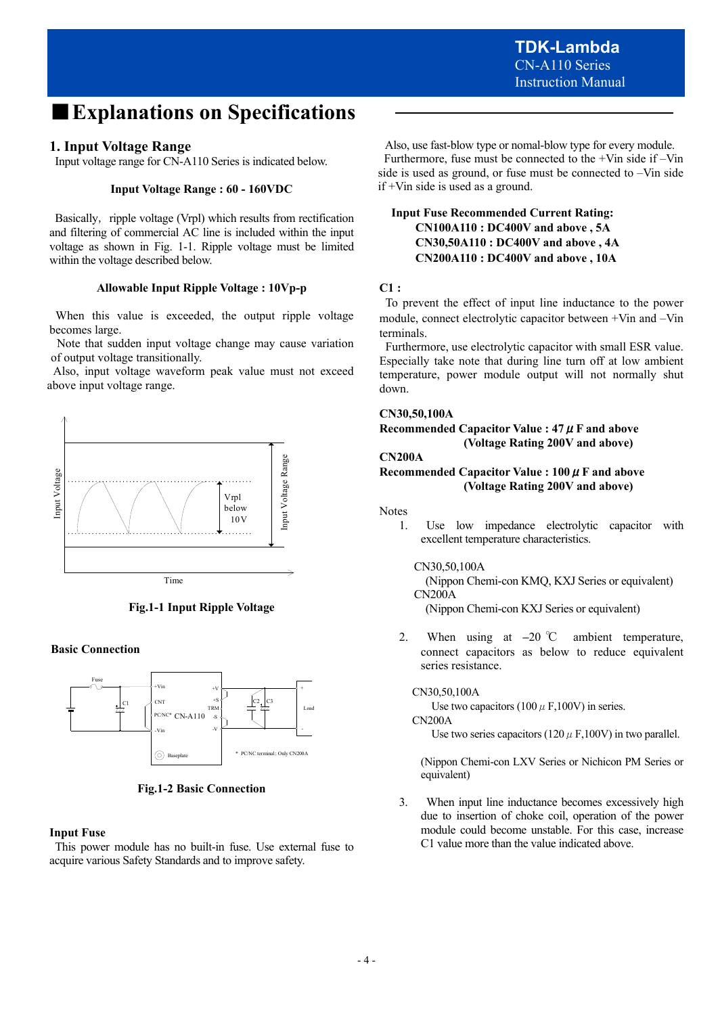# ■**Explanations on Specifications**

# **1. Input Voltage Range**

Input voltage range for CN-A110 Series is indicated below.

#### **Input Voltage Range : 60 - 160VDC**

Basically, ripple voltage (Vrpl) which results from rectification and filtering of commercial AC line is included within the input voltage as shown in Fig. 1-1. Ripple voltage must be limited within the voltage described below.

#### **Allowable Input Ripple Voltage : 10Vp-p**

 When this value is exceeded, the output ripple voltage becomes large.

 Note that sudden input voltage change may cause variation of output voltage transitionally.

 Also, input voltage waveform peak value must not exceed above input voltage range.



**Fig.1-1 Input Ripple Voltage** 

#### **Basic Connection**



**Fig.1-2 Basic Connection** 

#### **Input Fuse**

 This power module has no built-in fuse. Use external fuse to acquire various Safety Standards and to improve safety.

 Also, use fast-blow type or nomal-blow type for every module. Furthermore, fuse must be connected to the +Vin side if –Vin side is used as ground, or fuse must be connected to –Vin side if +Vin side is used as a ground.

### **Input Fuse Recommended Current Rating: CN100A110 : DC400V and above , 5A CN30,50A110 : DC400V and above , 4A CN200A110 : DC400V and above , 10A**

#### **C1 :**

 To prevent the effect of input line inductance to the power module, connect electrolytic capacitor between +Vin and –Vin terminals.

 Furthermore, use electrolytic capacitor with small ESR value. Especially take note that during line turn off at low ambient temperature, power module output will not normally shut down.

#### **CN30,50,100A**

**Recommended Capacitor Value : 47**μ**F and above (Voltage Rating 200V and above)** 

#### **CN200A**

### **Recommended Capacitor Value : 100**μ**F and above (Voltage Rating 200V and above)**

#### Notes

1. Use low impedance electrolytic capacitor with excellent temperature characteristics.

#### CN30,50,100A

(Nippon Chemi-con KMQ, KXJ Series or equivalent) CN200A

(Nippon Chemi-con KXJ Series or equivalent)

2. When using at **–**20 ℃ ambient temperature, connect capacitors as below to reduce equivalent series resistance.

#### CN30,50,100A

Use two capacitors (100  $\mu$  F,100V) in series.

#### CN200A

Use two series capacitors (120  $\mu$  F,100V) in two parallel.

(Nippon Chemi-con LXV Series or Nichicon PM Series or equivalent)

3. When input line inductance becomes excessively high due to insertion of choke coil, operation of the power module could become unstable. For this case, increase C1 value more than the value indicated above.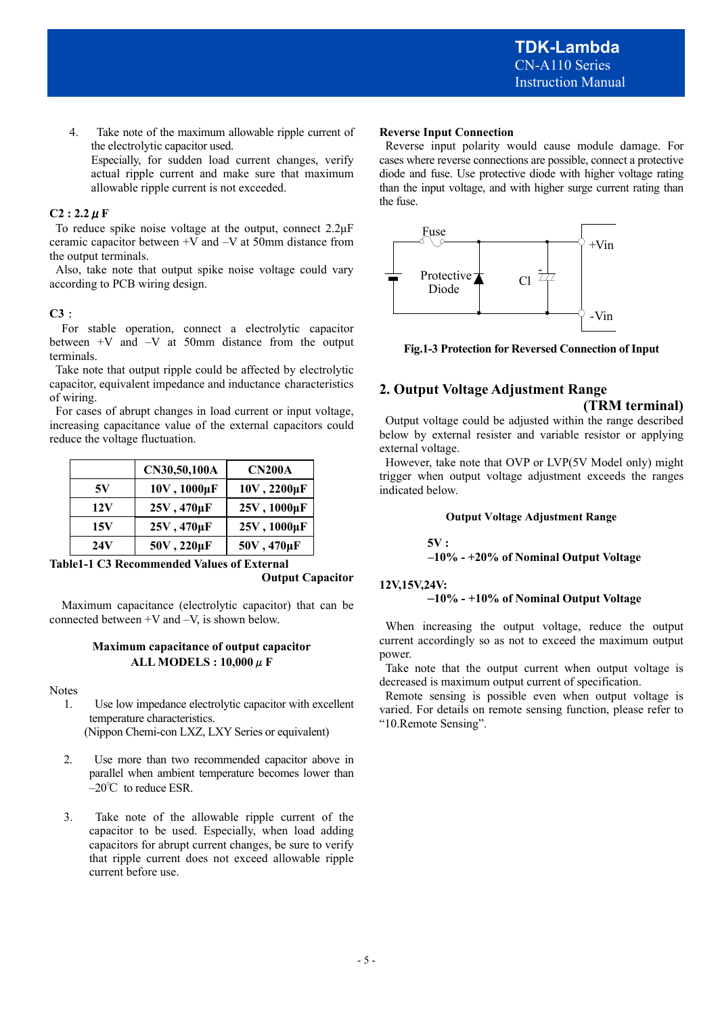4. Take note of the maximum allowable ripple current of the electrolytic capacitor used. Especially, for sudden load current changes, verify actual ripple current and make sure that maximum allowable ripple current is not exceeded.

#### $C2: 2.2 \mu F$

To reduce spike noise voltage at the output, connect 2.2μF ceramic capacitor between +V and –V at 50mm distance from the output terminals.

 Also, take note that output spike noise voltage could vary according to PCB wiring design.

#### **C3**:

For stable operation, connect a electrolytic capacitor between +V and –V at 50mm distance from the output terminals.

 Take note that output ripple could be affected by electrolytic capacitor, equivalent impedance and inductance characteristics of wiring.

 For cases of abrupt changes in load current or input voltage, increasing capacitance value of the external capacitors could reduce the voltage fluctuation.

|     | CN30,50,100A | <b>CN200A</b> |
|-----|--------------|---------------|
| 5V  | 10V, 1000µF  | 10V, 2200µF   |
| 12V | 25V, 470µF   | 25V, 1000µF   |
| 15V | 25V, 470µF   | 25V, 1000µF   |
| 24V | 50V, 220µF   | 50V, 470µF    |

**Table1-1 C3 Recommended Values of External** 

**Output Capacitor** 

Maximum capacitance (electrolytic capacitor) that can be connected between +V and –V, is shown below.

#### **Maximum capacitance of output capacitor ALL MODELS : 10,000**μ**F**

#### Notes

1. Use low impedance electrolytic capacitor with excellent temperature characteristics.

(Nippon Chemi-con LXZ, LXY Series or equivalent)

- 2. Use more than two recommended capacitor above in parallel when ambient temperature becomes lower than  $-20^{\circ}$ C to reduce ESR.
- 3. Take note of the allowable ripple current of the capacitor to be used. Especially, when load adding capacitors for abrupt current changes, be sure to verify that ripple current does not exceed allowable ripple current before use.

#### **Reverse Input Connection**

 Reverse input polarity would cause module damage. For cases where reverse connections are possible, connect a protective diode and fuse. Use protective diode with higher voltage rating than the input voltage, and with higher surge current rating than the fuse.



**Fig.1-3 Protection for Reversed Connection of Input** 

# **2. Output Voltage Adjustment Range**

#### **(TRM terminal)**

 Output voltage could be adjusted within the range described below by external resister and variable resistor or applying external voltage.

 However, take note that OVP or LVP(5V Model only) might trigger when output voltage adjustment exceeds the ranges indicated below.

#### **Output Voltage Adjustment Range**

#### **5V :**

 **–10% - +20% of Nominal Output Voltage** 

#### **12V,15V,24V:**

### –**10% - +10% of Nominal Output Voltage**

 When increasing the output voltage, reduce the output current accordingly so as not to exceed the maximum output power.

 Take note that the output current when output voltage is decreased is maximum output current of specification.

 Remote sensing is possible even when output voltage is varied. For details on remote sensing function, please refer to "10.Remote Sensing".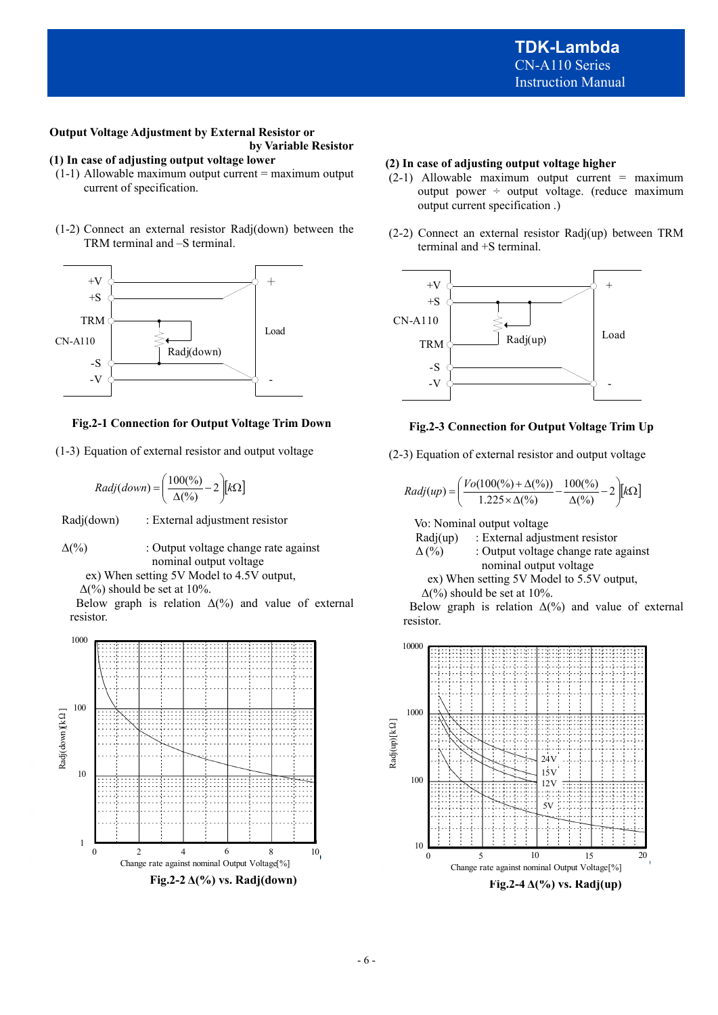#### **Output Voltage Adjustment by External Resistor or by Variable Resistor**

# **(1) In case of adjusting output voltage lower**

- $(1-1)$  Allowable maximum output current = maximum output current of specification.
- (1-2) Connect an external resistor Radj(down) between the TRM terminal and –S terminal.



#### **Fig.2-1 Connection for Output Voltage Trim Down**

(1-3) Equation of external resistor and output voltage

$$
Radj(down) = \left(\frac{100\binom{0}{0}}{\Delta\binom{0}{0}} - 2\right)[k\Omega]
$$

Radj(down) : External adjustment resistor

 $\Delta(\%)$  : Output voltage change rate against nominal output voltage

ex) When setting 5V Model to 4.5V output,

 $\Delta$ (%) should be set at 10%.

Below graph is relation  $\Delta(\%)$  and value of external resistor.



#### **(2) In case of adjusting output voltage higher**

- $(2-1)$  Allowable maximum output current = maximum output power ÷ output voltage. (reduce maximum output current specification .)
- (2-2) Connect an external resistor Radj(up) between TRM terminal and +S terminal.



#### **Fig.2-3 Connection for Output Voltage Trim Up**

(2-3) Equation of external resistor and output voltage

$$
(down) = \left(\frac{100\binom{9}{6}}{\Delta\binom{9}{6}} - 2\right)[k\Omega]
$$
  
\n
$$
Radj(up) = \left(\frac{Vo(100\binom{9}{6}) + \Delta\binom{9}{6}}{\Delta\binom{9}{6}} - \frac{100\binom{9}{6}}{\Delta\binom{9}{6}} - 2\right)[k\Omega]
$$

Vo: Nominal output voltage

Radj(up) : External adjustment resistor

- $\Delta$ (%) : Output voltage change rate against nominal output voltage
	- ex) When setting 5V Model to 5.5V output,

 $\Delta$ (%) should be set at 10%.

Below graph is relation  $\Delta(\%)$  and value of external resistor.

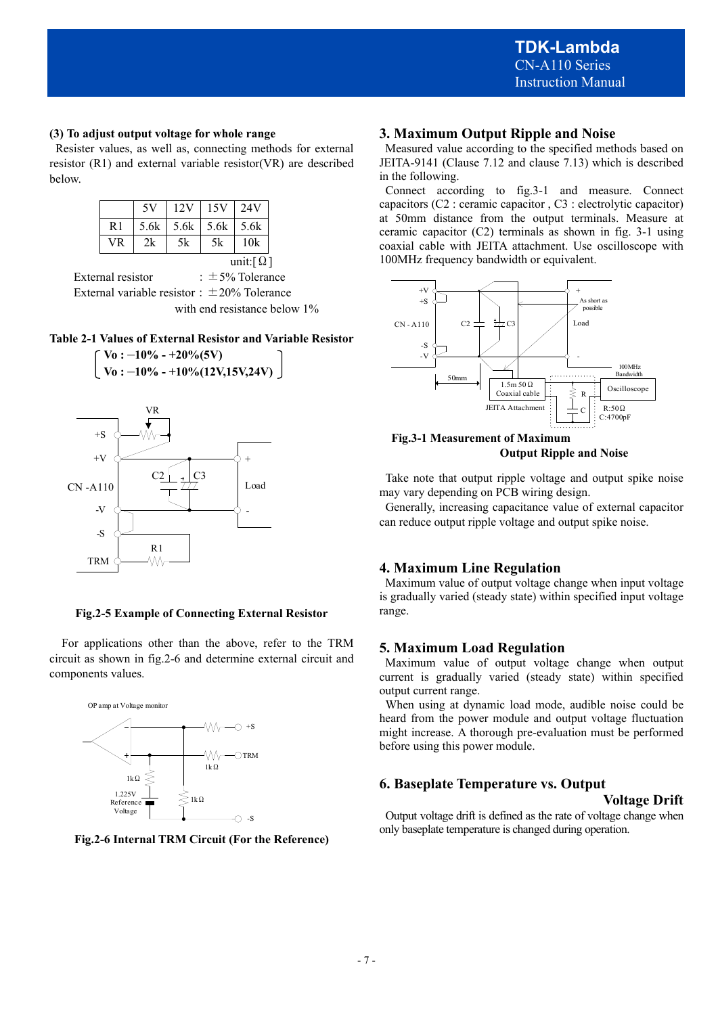#### **(3) To adjust output voltage for whole range**

Resister values, as well as, connecting methods for external resistor (R1) and external variable resistor(VR) are described below.

|           | 5V   | 12V | 15V           | 24V                          |
|-----------|------|-----|---------------|------------------------------|
| R1        | 5.6k |     | $5.6k$ $5.6k$ | 5.6k                         |
| <b>VR</b> | 2k   | 5k  | 5k            | 10k                          |
|           |      |     |               | unit: $\lceil \Omega \rceil$ |

External resistor  $\qquad \qquad : \pm 5\%$  Tolerance External variable resistor:  $\pm 20\%$  Tolerance with end resistance below 1%

### **Table 2-1 Values of External Resistor and Variable Resistor**



W۸

TRM

#### **Fig.2-5 Example of Connecting External Resistor**

 For applications other than the above, refer to the TRM circuit as shown in fig.2-6 and determine external circuit and components values.



**Fig.2-6 Internal TRM Circuit (For the Reference)**

# **3. Maximum Output Ripple and Noise**

 Measured value according to the specified methods based on JEITA-9141 (Clause 7.12 and clause 7.13) which is described in the following.

 Connect according to fig.3-1 and measure. Connect capacitors (C2 : ceramic capacitor , C3 : electrolytic capacitor) at 50mm distance from the output terminals. Measure at ceramic capacitor (C2) terminals as shown in fig. 3-1 using coaxial cable with JEITA attachment. Use oscilloscope with 100MHz frequency bandwidth or equivalent.



**Fig.3-1 Measurement of Maximum Output Ripple and Noise** 

 Take note that output ripple voltage and output spike noise may vary depending on PCB wiring design.

 Generally, increasing capacitance value of external capacitor can reduce output ripple voltage and output spike noise.

#### **4. Maximum Line Regulation**

 Maximum value of output voltage change when input voltage is gradually varied (steady state) within specified input voltage range.

#### **5. Maximum Load Regulation**

 Maximum value of output voltage change when output current is gradually varied (steady state) within specified output current range.

 When using at dynamic load mode, audible noise could be heard from the power module and output voltage fluctuation might increase. A thorough pre-evaluation must be performed before using this power module.

### **6. Baseplate Temperature vs. Output**

#### **Voltage Drift**

 Output voltage drift is defined as the rate of voltage change when only baseplate temperature is changed during operation.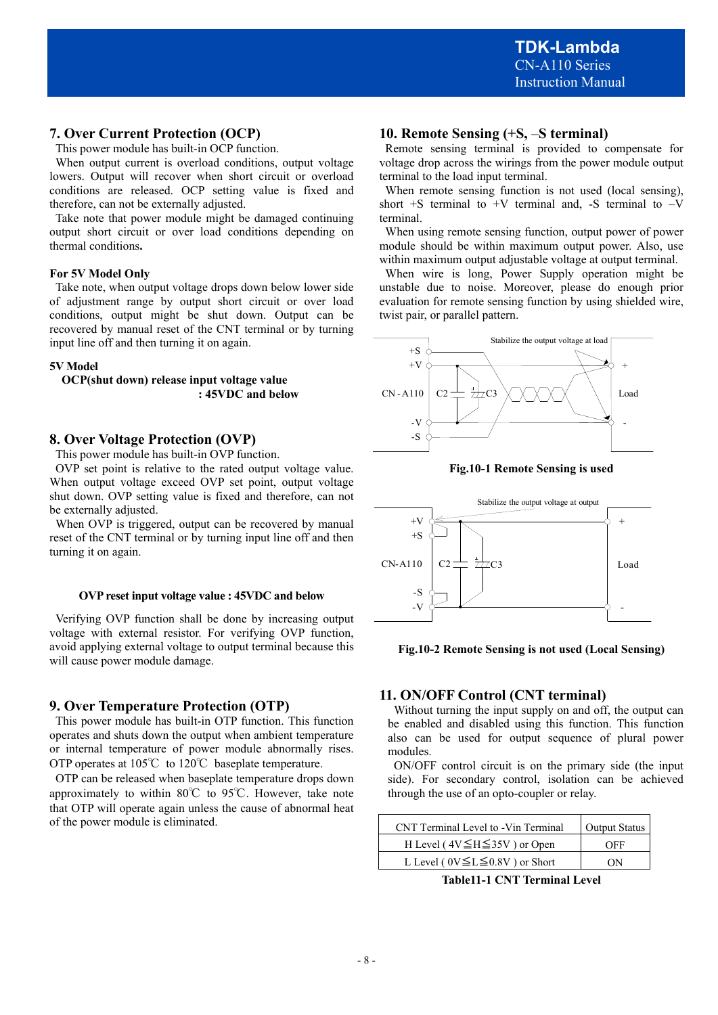# **7. Over Current Protection (OCP)**

This power module has built-in OCP function.

When output current is overload conditions, output voltage lowers. Output will recover when short circuit or overload conditions are released. OCP setting value is fixed and therefore, can not be externally adjusted.

Take note that power module might be damaged continuing output short circuit or over load conditions depending on thermal conditions**.**

#### **For 5V Model Only**

Take note, when output voltage drops down below lower side of adjustment range by output short circuit or over load conditions, output might be shut down. Output can be recovered by manual reset of the CNT terminal or by turning input line off and then turning it on again.

#### **5V Model**

**OCP(shut down) release input voltage value : 45VDC and below** 

### **8. Over Voltage Protection (OVP)**

This power module has built-in OVP function.

OVP set point is relative to the rated output voltage value. When output voltage exceed OVP set point, output voltage shut down. OVP setting value is fixed and therefore, can not be externally adjusted.

When OVP is triggered, output can be recovered by manual reset of the CNT terminal or by turning input line off and then turning it on again.

#### **OVP reset input voltage value : 45VDC and below**

 Verifying OVP function shall be done by increasing output voltage with external resistor. For verifying OVP function, avoid applying external voltage to output terminal because this will cause power module damage.

# **9. Over Temperature Protection (OTP)**

 This power module has built-in OTP function. This function operates and shuts down the output when ambient temperature or internal temperature of power module abnormally rises. OTP operates at 105℃ to 120℃ baseplate temperature.

 OTP can be released when baseplate temperature drops down approximately to within 80℃ to 95℃. However, take note that OTP will operate again unless the cause of abnormal heat of the power module is eliminated.

# **10. Remote Sensing (+S,** –**S terminal)**

Remote sensing terminal is provided to compensate for voltage drop across the wirings from the power module output terminal to the load input terminal.

When remote sensing function is not used (local sensing), short +S terminal to  $+V$  terminal and, -S terminal to  $-V$ terminal.

When using remote sensing function, output power of power module should be within maximum output power. Also, use within maximum output adjustable voltage at output terminal.

When wire is long, Power Supply operation might be unstable due to noise. Moreover, please do enough prior evaluation for remote sensing function by using shielded wire, twist pair, or parallel pattern.



**Fig.10-1 Remote Sensing is used** 



**Fig.10-2 Remote Sensing is not used (Local Sensing)** 

# **11. ON/OFF Control (CNT terminal)**

 Without turning the input supply on and off, the output can be enabled and disabled using this function. This function also can be used for output sequence of plural power modules.

 ON/OFF control circuit is on the primary side (the input side). For secondary control, isolation can be achieved through the use of an opto-coupler or relay.

| CNT Terminal Level to -Vin Terminal      | Output Status |
|------------------------------------------|---------------|
| H Level ( $4V \leq H \leq 35V$ ) or Open | OFF           |
| L Level ( $0V \le L \le 0.8V$ ) or Short | ΩN            |

**Table11-1 CNT Terminal Level**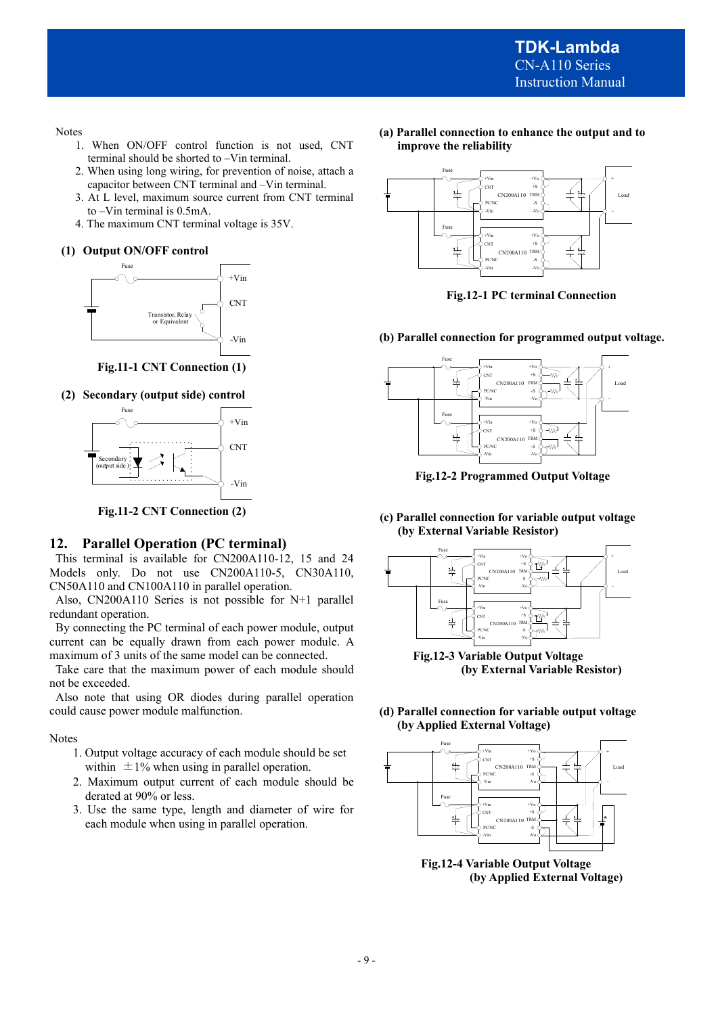Notes

- 1. When ON/OFF control function is not used, CNT terminal should be shorted to –Vin terminal.
- 2. When using long wiring, for prevention of noise, attach a capacitor between CNT terminal and –Vin terminal.
- 3. At L level, maximum source current from CNT terminal to –Vin terminal is 0.5mA.
- 4. The maximum CNT terminal voltage is 35V.

#### **(1) Output ON/OFF control**



**Fig.11-1 CNT Connection (1)**



**Fig.11-2 CNT Connection (2)** 

#### **12. Parallel Operation (PC terminal)**

 This terminal is available for CN200A110-12, 15 and 24 Models only. Do not use CN200A110-5, CN30A110, CN50A110 and CN100A110 in parallel operation.

 Also, CN200A110 Series is not possible for N+1 parallel redundant operation.

 By connecting the PC terminal of each power module, output current can be equally drawn from each power module. A maximum of 3 units of the same model can be connected.

 Take care that the maximum power of each module should not be exceeded.

 Also note that using OR diodes during parallel operation could cause power module malfunction.

#### Notes

- 1. Output voltage accuracy of each module should be set within  $\pm 1\%$  when using in parallel operation.
- 2. Maximum output current of each module should be derated at 90% or less.
- 3. Use the same type, length and diameter of wire for each module when using in parallel operation.

**(a) Parallel connection to enhance the output and to improve the reliability** 



**Fig.12-1 PC terminal Connection**

**(b) Parallel connection for programmed output voltage.** 



**Fig.12-2 Programmed Output Voltage** 

**(c) Parallel connection for variable output voltage (by External Variable Resistor)** 



**Fig.12-3 Variable Output Voltage (by External Variable Resistor)** 

### **(d) Parallel connection for variable output voltage (by Applied External Voltage)**



**Fig.12-4 Variable Output Voltage (by Applied External Voltage)**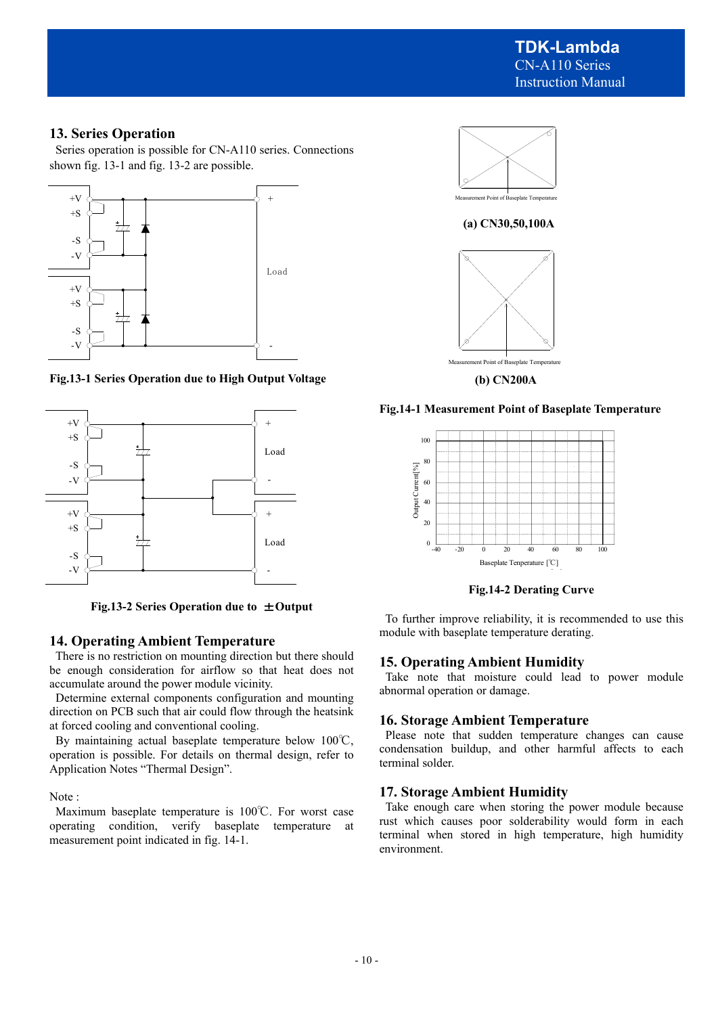**TDK-Lambda**  CN-A110 Series Instruction Manual

# **13. Series Operation**

 Series operation is possible for CN-A110 series. Connections shown fig. 13-1 and fig. 13-2 are possible.



**Fig.13-1 Series Operation due to High Output Voltage** 



**Fig.13-2 Series Operation due to** ±**Output** 

# **14. Operating Ambient Temperature**

 There is no restriction on mounting direction but there should be enough consideration for airflow so that heat does not accumulate around the power module vicinity.

 Determine external components configuration and mounting direction on PCB such that air could flow through the heatsink at forced cooling and conventional cooling.

 By maintaining actual baseplate temperature below 100℃, operation is possible. For details on thermal design, refer to Application Notes "Thermal Design".

Note :

 Maximum baseplate temperature is 100℃. For worst case operating condition, verify baseplate temperature at measurement point indicated in fig. 14-1.





**(b) CN200A** 

#### **Fig.14-1 Measurement Point of Baseplate Temperature**



**Fig.14-2 Derating Curve** 

 To further improve reliability, it is recommended to use this module with baseplate temperature derating.

# **15. Operating Ambient Humidity**

 Take note that moisture could lead to power module abnormal operation or damage.

### **16. Storage Ambient Temperature**

 Please note that sudden temperature changes can cause condensation buildup, and other harmful affects to each terminal solder.

#### **17. Storage Ambient Humidity**

 Take enough care when storing the power module because rust which causes poor solderability would form in each terminal when stored in high temperature, high humidity environment.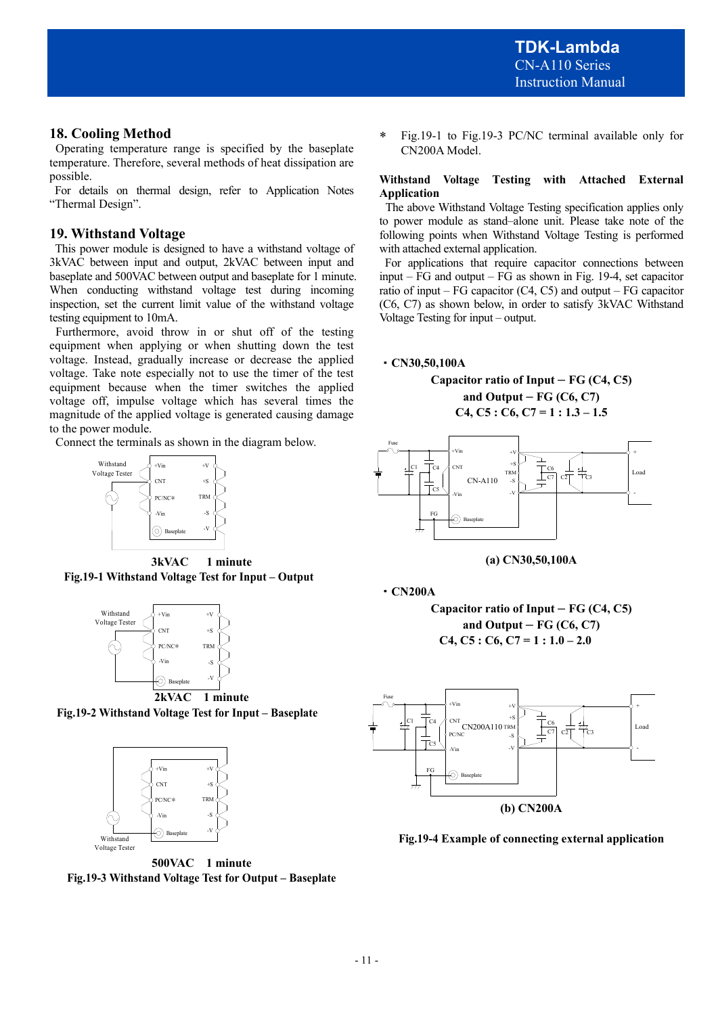# **18. Cooling Method**

 Operating temperature range is specified by the baseplate temperature. Therefore, several methods of heat dissipation are possible.

 For details on thermal design, refer to Application Notes "Thermal Design".

# **19. Withstand Voltage**

 This power module is designed to have a withstand voltage of 3kVAC between input and output, 2kVAC between input and baseplate and 500VAC between output and baseplate for 1 minute. When conducting withstand voltage test during incoming inspection, set the current limit value of the withstand voltage testing equipment to 10mA.

 Furthermore, avoid throw in or shut off of the testing equipment when applying or when shutting down the test voltage. Instead, gradually increase or decrease the applied voltage. Take note especially not to use the timer of the test equipment because when the timer switches the applied voltage off, impulse voltage which has several times the magnitude of the applied voltage is generated causing damage to the power module.

Connect the terminals as shown in the diagram below.



**3kVAC 1 minute Fig.19-1 Withstand Voltage Test for Input – Output** 



**Fig.19-2 Withstand Voltage Test for Input – Baseplate** 



**500VAC 1 minute Fig.19-3 Withstand Voltage Test for Output – Baseplate** 

 Fig.19-1 to Fig.19-3 PC/NC terminal available only for CN200A Model.

#### **Withstand Voltage Testing with Attached External Application**

 The above Withstand Voltage Testing specification applies only to power module as stand–alone unit. Please take note of the following points when Withstand Voltage Testing is performed with attached external application.

 For applications that require capacitor connections between input – FG and output – FG as shown in Fig. 19-4, set capacitor ratio of input –  $FG$  capacitor  $(C4, C5)$  and output –  $FG$  capacitor (C6, C7) as shown below, in order to satisfy 3kVAC Withstand Voltage Testing for input – output.

### ・**CN30,50,100A**

**Capacitor ratio of Input – FG (C4, C5) and Output – FG (C6, C7) C4, C5 : C6, C7 = 1 : 1.3 – 1.5** 





・**CN200A**

**Capacitor ratio of Input – FG (C4, C5) and Output – FG (C6, C7) C4, C5 : C6, C7 = 1 : 1.0 – 2.0**



**Fig.19-4 Example of connecting external application**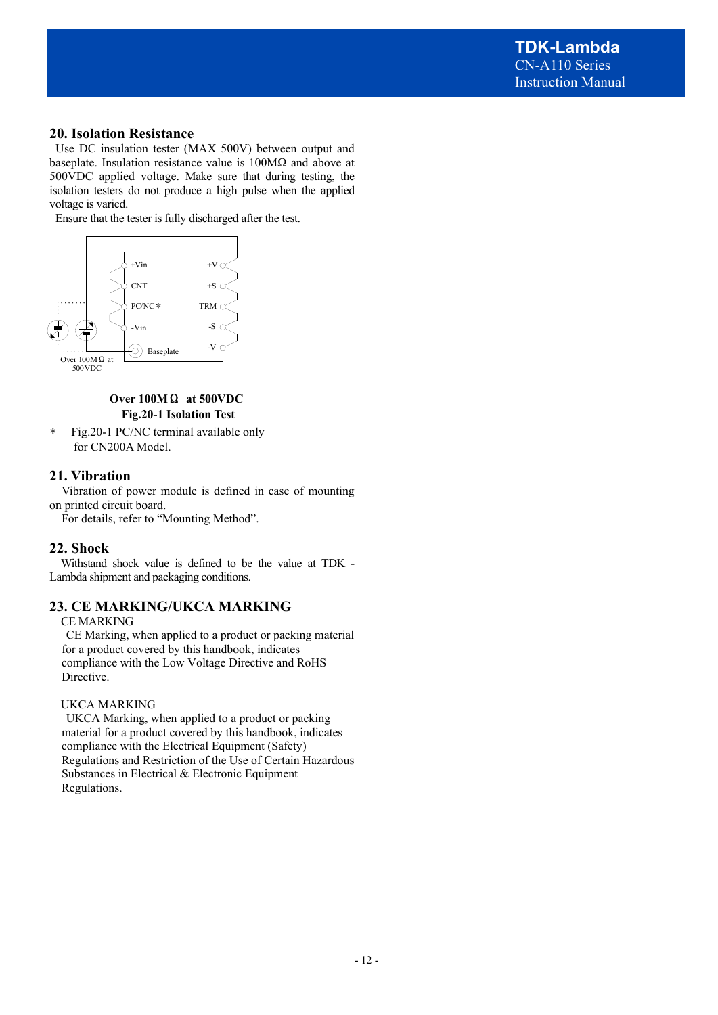# **20. Isolation Resistance**

Use DC insulation tester (MAX 500V) between output and baseplate. Insulation resistance value is 100MΩ and above at 500VDC applied voltage. Make sure that during testing, the isolation testers do not produce a high pulse when the applied voltage is varied.

Ensure that the tester is fully discharged after the test.



# **Over 100M**Ω **at 500VDC Fig.20-1 Isolation Test**

 Fig.20-1 PC/NC terminal available only for CN200A Model.

# **21. Vibration**

 Vibration of power module is defined in case of mounting on printed circuit board.

For details, refer to "Mounting Method".

# **22. Shock**

 Withstand shock value is defined to be the value at TDK - Lambda shipment and packaging conditions.

# **23. CE MARKING/UKCA MARKING**

CE MARKING

 CE Marking, when applied to a product or packing material for a product covered by this handbook, indicates compliance with the Low Voltage Directive and RoHS Directive.

### UKCA MARKING

 UKCA Marking, when applied to a product or packing material for a product covered by this handbook, indicates compliance with the Electrical Equipment (Safety) Regulations and Restriction of the Use of Certain Hazardous Substances in Electrical & Electronic Equipment Regulations.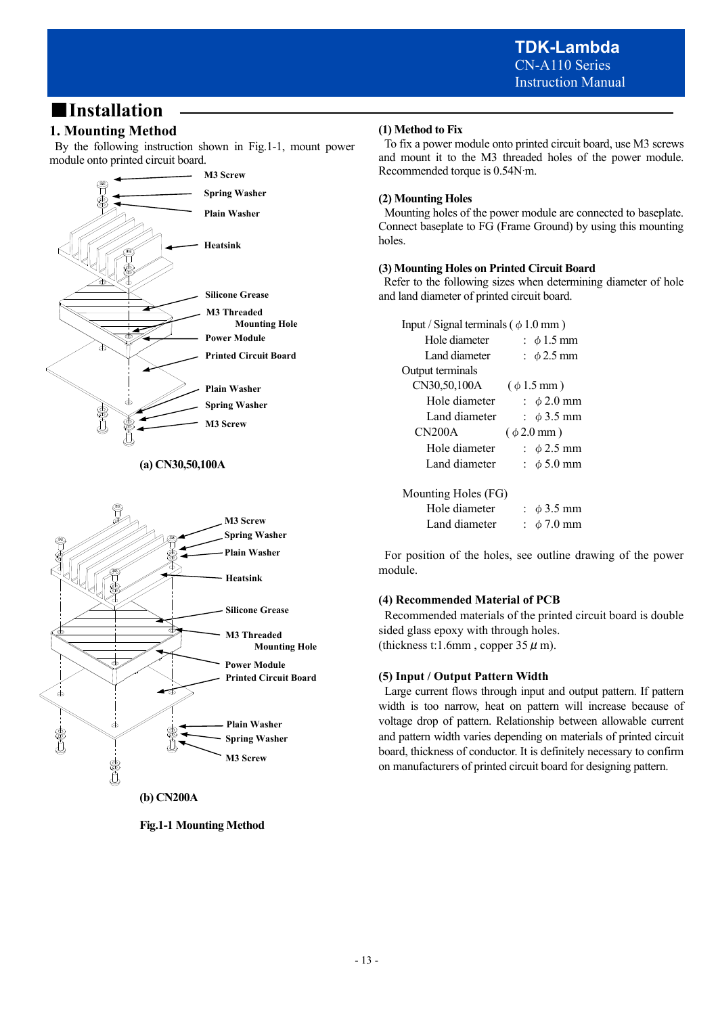# ■**Installation**

# **1. Mounting Method**

 By the following instruction shown in Fig.1-1, mount power module onto printed circuit board.



**(a) CN30,50,100A** 



**(b) CN200A** 

**Fig.1-1 Mounting Method** 

# **(1) Method to Fix**

To fix a power module onto printed circuit board, use M3 screws and mount it to the M3 threaded holes of the power module. Recommended torque is 0.54N∙m.

# **(2) Mounting Holes**

Mounting holes of the power module are connected to baseplate. Connect baseplate to FG (Frame Ground) by using this mounting holes.

# **(3) Mounting Holes on Printed Circuit Board**

 Refer to the following sizes when determining diameter of hole and land diameter of printed circuit board.

| Input / Signal terminals ( $\phi$ 1.0 mm) |                         |  |  |  |  |
|-------------------------------------------|-------------------------|--|--|--|--|
| Hole diameter                             | : $\phi$ 1.5 mm         |  |  |  |  |
| Land diameter                             | $\pm \phi$ 2.5 mm       |  |  |  |  |
| Output terminals                          |                         |  |  |  |  |
| CN30,50,100A<br>$(\phi 1.5 \text{ mm})$   |                         |  |  |  |  |
| Hole diameter                             | $\div$ $\phi$ 2.0 mm    |  |  |  |  |
| Land diameter                             | $\pm \phi$ 3.5 mm       |  |  |  |  |
| CN200A                                    | $(\phi 2.0 \text{ mm})$ |  |  |  |  |
| Hole diameter                             | $\pm \phi$ 2.5 mm       |  |  |  |  |
| Land diameter                             | $\phi$ 5.0 mm           |  |  |  |  |
| Mounting Holes (FG)                       |                         |  |  |  |  |
| Hole diameter                             | : $\phi$ 3.5 mm         |  |  |  |  |
| Land diameter                             | $\phi$ 7.0 mm           |  |  |  |  |

 For position of the holes, see outline drawing of the power module.

# **(4) Recommended Material of PCB**

 Recommended materials of the printed circuit board is double sided glass epoxy with through holes. (thickness t:1.6mm, copper  $35 \mu$  m).

# **(5) Input / Output Pattern Width**

 Large current flows through input and output pattern. If pattern width is too narrow, heat on pattern will increase because of voltage drop of pattern. Relationship between allowable current and pattern width varies depending on materials of printed circuit board, thickness of conductor. It is definitely necessary to confirm on manufacturers of printed circuit board for designing pattern.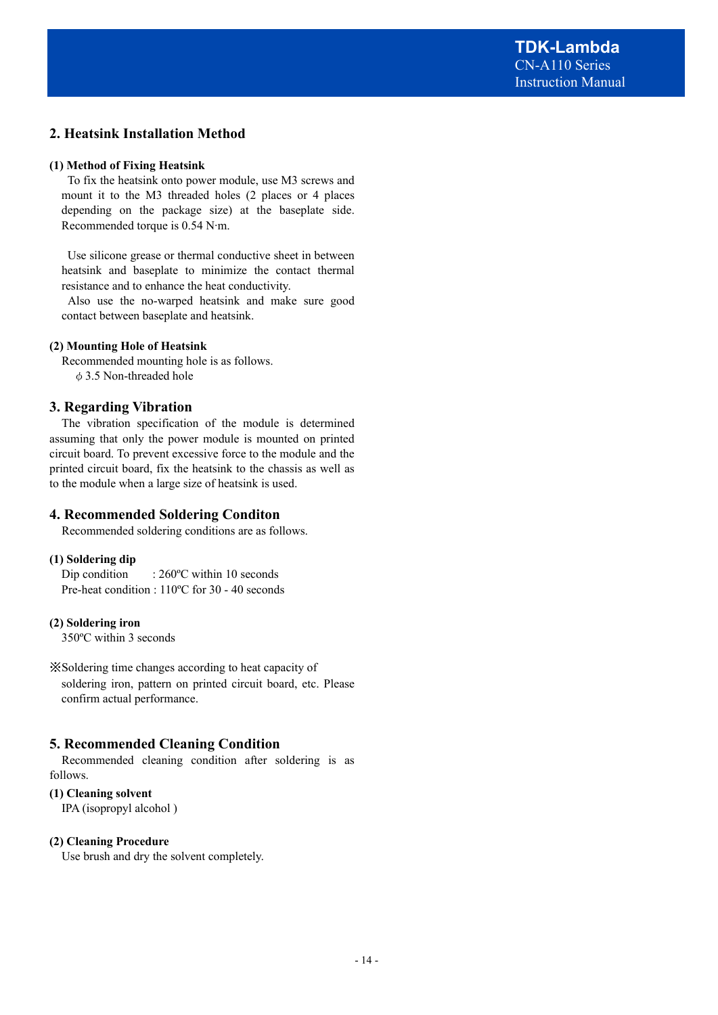**TDK-Lambda**  CN-A110 Series Instruction Manual

# **2. Heatsink Installation Method**

#### **(1) Method of Fixing Heatsink**

 To fix the heatsink onto power module, use M3 screws and mount it to the M3 threaded holes (2 places or 4 places depending on the package size) at the baseplate side. Recommended torque is 0.54 N∙m.

 Use silicone grease or thermal conductive sheet in between heatsink and baseplate to minimize the contact thermal resistance and to enhance the heat conductivity.

 Also use the no-warped heatsink and make sure good contact between baseplate and heatsink.

#### **(2) Mounting Hole of Heatsink**

 Recommended mounting hole is as follows. φ3.5 Non-threaded hole

### **3. Regarding Vibration**

 The vibration specification of the module is determined assuming that only the power module is mounted on printed circuit board. To prevent excessive force to the module and the printed circuit board, fix the heatsink to the chassis as well as to the module when a large size of heatsink is used.

#### **4. Recommended Soldering Conditon**

Recommended soldering conditions are as follows.

#### **(1) Soldering dip**

Dip condition : 260°C within 10 seconds Pre-heat condition : 110ºC for 30 - 40 seconds

#### **(2) Soldering iron**

350ºC within 3 seconds

※Soldering time changes according to heat capacity of soldering iron, pattern on printed circuit board, etc. Please confirm actual performance.

#### **5. Recommended Cleaning Condition**

 Recommended cleaning condition after soldering is as follows.

### **(1) Cleaning solvent**

IPA (isopropyl alcohol )

#### **(2) Cleaning Procedure**

Use brush and dry the solvent completely.